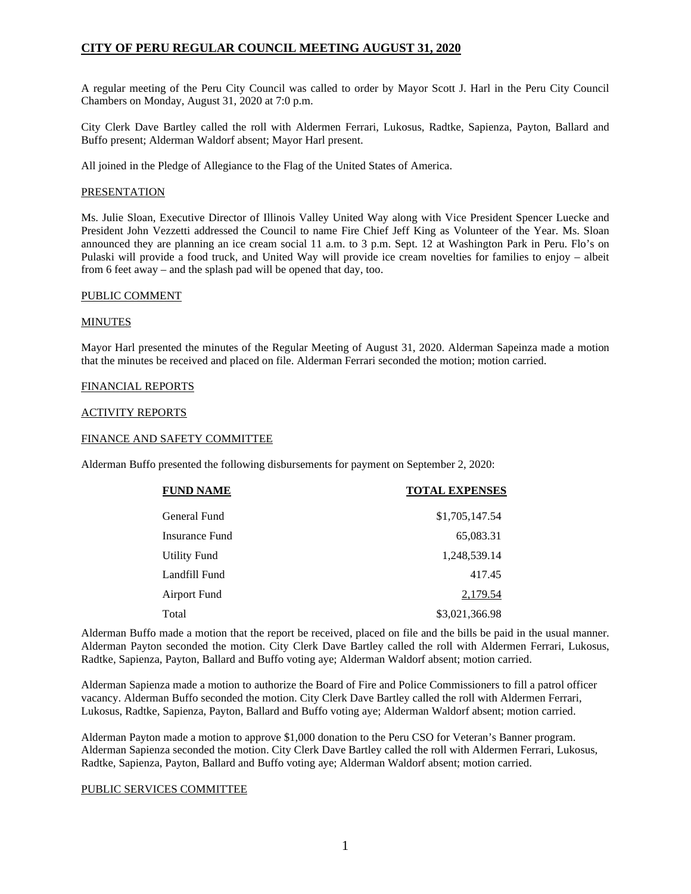A regular meeting of the Peru City Council was called to order by Mayor Scott J. Harl in the Peru City Council Chambers on Monday, August 31, 2020 at 7:0 p.m.

City Clerk Dave Bartley called the roll with Aldermen Ferrari, Lukosus, Radtke, Sapienza, Payton, Ballard and Buffo present; Alderman Waldorf absent; Mayor Harl present.

All joined in the Pledge of Allegiance to the Flag of the United States of America.

# PRESENTATION

Ms. Julie Sloan, Executive Director of Illinois Valley United Way along with Vice President Spencer Luecke and President John Vezzetti addressed the Council to name Fire Chief Jeff King as Volunteer of the Year. Ms. Sloan announced they are planning an ice cream social 11 a.m. to 3 p.m. Sept. 12 at Washington Park in Peru. Flo's on Pulaski will provide a food truck, and United Way will provide ice cream novelties for families to enjoy – albeit from 6 feet away – and the splash pad will be opened that day, too.

#### PUBLIC COMMENT

# MINUTES

Mayor Harl presented the minutes of the Regular Meeting of August 31, 2020. Alderman Sapeinza made a motion that the minutes be received and placed on file. Alderman Ferrari seconded the motion; motion carried.

# FINANCIAL REPORTS

# ACTIVITY REPORTS

# FINANCE AND SAFETY COMMITTEE

Alderman Buffo presented the following disbursements for payment on September 2, 2020:

| <b>FUND NAME</b>    | <b>TOTAL EXPENSES</b> |
|---------------------|-----------------------|
| General Fund        | \$1,705,147.54        |
| Insurance Fund      | 65,083.31             |
| <b>Utility Fund</b> | 1,248,539.14          |
| Landfill Fund       | 417.45                |
| Airport Fund        | 2,179.54              |
| Total               | \$3,021,366.98        |

Alderman Buffo made a motion that the report be received, placed on file and the bills be paid in the usual manner. Alderman Payton seconded the motion. City Clerk Dave Bartley called the roll with Aldermen Ferrari, Lukosus, Radtke, Sapienza, Payton, Ballard and Buffo voting aye; Alderman Waldorf absent; motion carried.

Alderman Sapienza made a motion to authorize the Board of Fire and Police Commissioners to fill a patrol officer vacancy. Alderman Buffo seconded the motion. City Clerk Dave Bartley called the roll with Aldermen Ferrari, Lukosus, Radtke, Sapienza, Payton, Ballard and Buffo voting aye; Alderman Waldorf absent; motion carried.

Alderman Payton made a motion to approve \$1,000 donation to the Peru CSO for Veteran's Banner program. Alderman Sapienza seconded the motion. City Clerk Dave Bartley called the roll with Aldermen Ferrari, Lukosus, Radtke, Sapienza, Payton, Ballard and Buffo voting aye; Alderman Waldorf absent; motion carried.

# PUBLIC SERVICES COMMITTEE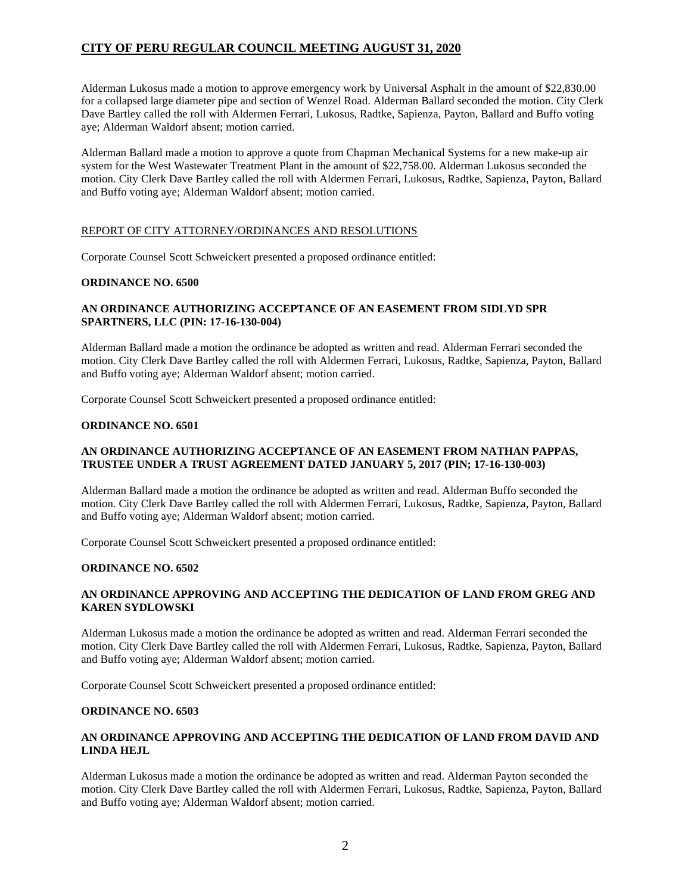Alderman Lukosus made a motion to approve emergency work by Universal Asphalt in the amount of \$22,830.00 for a collapsed large diameter pipe and section of Wenzel Road. Alderman Ballard seconded the motion. City Clerk Dave Bartley called the roll with Aldermen Ferrari, Lukosus, Radtke, Sapienza, Payton, Ballard and Buffo voting aye; Alderman Waldorf absent; motion carried.

Alderman Ballard made a motion to approve a quote from Chapman Mechanical Systems for a new make-up air system for the West Wastewater Treatment Plant in the amount of \$22,758.00. Alderman Lukosus seconded the motion. City Clerk Dave Bartley called the roll with Aldermen Ferrari, Lukosus, Radtke, Sapienza, Payton, Ballard and Buffo voting aye; Alderman Waldorf absent; motion carried.

# REPORT OF CITY ATTORNEY/ORDINANCES AND RESOLUTIONS

Corporate Counsel Scott Schweickert presented a proposed ordinance entitled:

# **ORDINANCE NO. 6500**

# **AN ORDINANCE AUTHORIZING ACCEPTANCE OF AN EASEMENT FROM SIDLYD SPR SPARTNERS, LLC (PIN: 17-16-130-004)**

Alderman Ballard made a motion the ordinance be adopted as written and read. Alderman Ferrari seconded the motion. City Clerk Dave Bartley called the roll with Aldermen Ferrari, Lukosus, Radtke, Sapienza, Payton, Ballard and Buffo voting aye; Alderman Waldorf absent; motion carried.

Corporate Counsel Scott Schweickert presented a proposed ordinance entitled:

# **ORDINANCE NO. 6501**

# **AN ORDINANCE AUTHORIZING ACCEPTANCE OF AN EASEMENT FROM NATHAN PAPPAS, TRUSTEE UNDER A TRUST AGREEMENT DATED JANUARY 5, 2017 (PIN; 17-16-130-003)**

Alderman Ballard made a motion the ordinance be adopted as written and read. Alderman Buffo seconded the motion. City Clerk Dave Bartley called the roll with Aldermen Ferrari, Lukosus, Radtke, Sapienza, Payton, Ballard and Buffo voting aye; Alderman Waldorf absent; motion carried.

Corporate Counsel Scott Schweickert presented a proposed ordinance entitled:

#### **ORDINANCE NO. 6502**

# **AN ORDINANCE APPROVING AND ACCEPTING THE DEDICATION OF LAND FROM GREG AND KAREN SYDLOWSKI**

Alderman Lukosus made a motion the ordinance be adopted as written and read. Alderman Ferrari seconded the motion. City Clerk Dave Bartley called the roll with Aldermen Ferrari, Lukosus, Radtke, Sapienza, Payton, Ballard and Buffo voting aye; Alderman Waldorf absent; motion carried.

Corporate Counsel Scott Schweickert presented a proposed ordinance entitled:

#### **ORDINANCE NO. 6503**

# **AN ORDINANCE APPROVING AND ACCEPTING THE DEDICATION OF LAND FROM DAVID AND LINDA HEJL**

Alderman Lukosus made a motion the ordinance be adopted as written and read. Alderman Payton seconded the motion. City Clerk Dave Bartley called the roll with Aldermen Ferrari, Lukosus, Radtke, Sapienza, Payton, Ballard and Buffo voting aye; Alderman Waldorf absent; motion carried.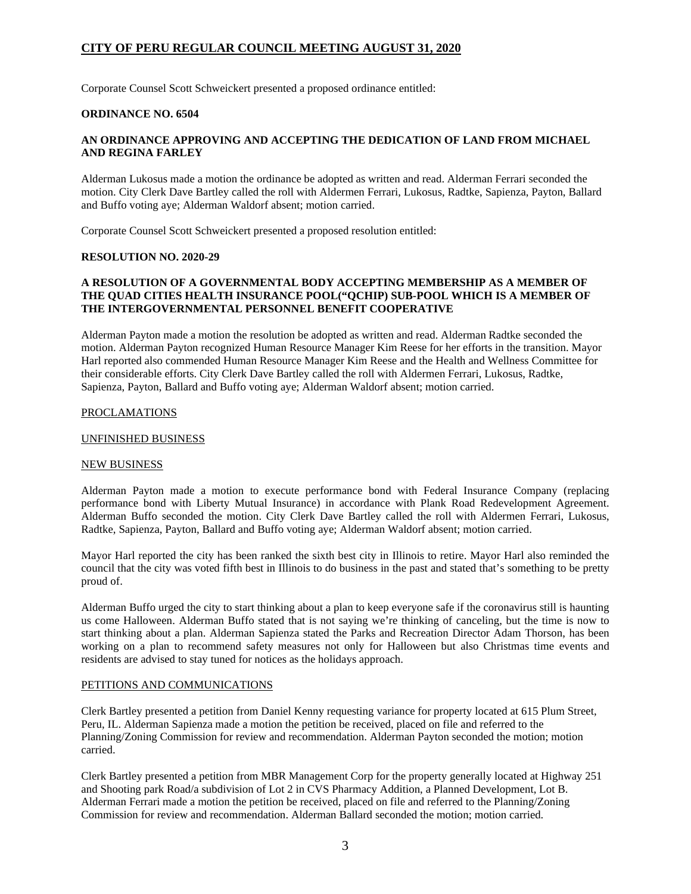Corporate Counsel Scott Schweickert presented a proposed ordinance entitled:

### **ORDINANCE NO. 6504**

# **AN ORDINANCE APPROVING AND ACCEPTING THE DEDICATION OF LAND FROM MICHAEL AND REGINA FARLEY**

Alderman Lukosus made a motion the ordinance be adopted as written and read. Alderman Ferrari seconded the motion. City Clerk Dave Bartley called the roll with Aldermen Ferrari, Lukosus, Radtke, Sapienza, Payton, Ballard and Buffo voting aye; Alderman Waldorf absent; motion carried.

Corporate Counsel Scott Schweickert presented a proposed resolution entitled:

### **RESOLUTION NO. 2020-29**

# **A RESOLUTION OF A GOVERNMENTAL BODY ACCEPTING MEMBERSHIP AS A MEMBER OF THE QUAD CITIES HEALTH INSURANCE POOL("QCHIP) SUB-POOL WHICH IS A MEMBER OF THE INTERGOVERNMENTAL PERSONNEL BENEFIT COOPERATIVE**

Alderman Payton made a motion the resolution be adopted as written and read. Alderman Radtke seconded the motion. Alderman Payton recognized Human Resource Manager Kim Reese for her efforts in the transition. Mayor Harl reported also commended Human Resource Manager Kim Reese and the Health and Wellness Committee for their considerable efforts. City Clerk Dave Bartley called the roll with Aldermen Ferrari, Lukosus, Radtke, Sapienza, Payton, Ballard and Buffo voting aye; Alderman Waldorf absent; motion carried.

# PROCLAMATIONS

#### UNFINISHED BUSINESS

# NEW BUSINESS

Alderman Payton made a motion to execute performance bond with Federal Insurance Company (replacing performance bond with Liberty Mutual Insurance) in accordance with Plank Road Redevelopment Agreement. Alderman Buffo seconded the motion. City Clerk Dave Bartley called the roll with Aldermen Ferrari, Lukosus, Radtke, Sapienza, Payton, Ballard and Buffo voting aye; Alderman Waldorf absent; motion carried.

Mayor Harl reported the city has been ranked the sixth best city in Illinois to retire. Mayor Harl also reminded the council that the city was voted fifth best in Illinois to do business in the past and stated that's something to be pretty proud of.

Alderman Buffo urged the city to start thinking about a plan to keep everyone safe if the coronavirus still is haunting us come Halloween. Alderman Buffo stated that is not saying we're thinking of canceling, but the time is now to start thinking about a plan. Alderman Sapienza stated the Parks and Recreation Director Adam Thorson, has been working on a plan to recommend safety measures not only for Halloween but also Christmas time events and residents are advised to stay tuned for notices as the holidays approach.

#### PETITIONS AND COMMUNICATIONS

Clerk Bartley presented a petition from Daniel Kenny requesting variance for property located at 615 Plum Street, Peru, IL. Alderman Sapienza made a motion the petition be received, placed on file and referred to the Planning/Zoning Commission for review and recommendation. Alderman Payton seconded the motion; motion carried.

Clerk Bartley presented a petition from MBR Management Corp for the property generally located at Highway 251 and Shooting park Road/a subdivision of Lot 2 in CVS Pharmacy Addition, a Planned Development, Lot B. Alderman Ferrari made a motion the petition be received, placed on file and referred to the Planning/Zoning Commission for review and recommendation. Alderman Ballard seconded the motion; motion carried.